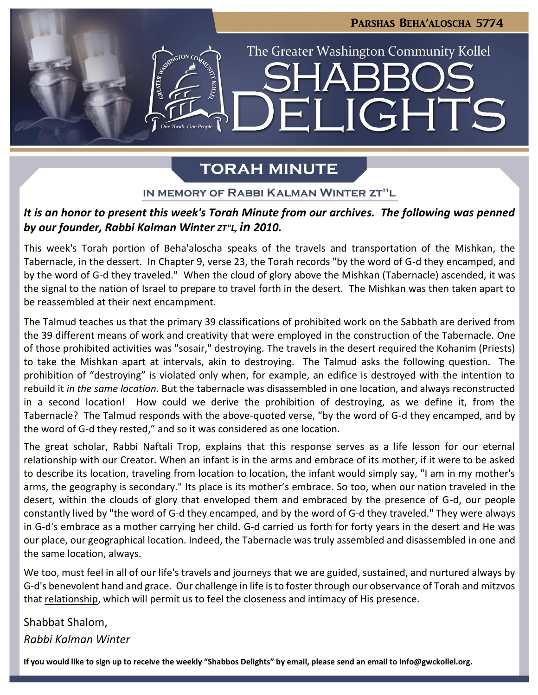# Parshas Beha'aloscha 5774 The Greater Washington Community Kollel **JGHTS**  $\blacksquare$

## **TORAH MINUTE**

### IN MEMORY OF RABBI KALMAN WINTER ZT"L

## *It is an honor to present this week's Torah Minute from our archives. The following was penned by our founder, Rabbi Kalman Winter ZT"L, in 2010.*

This week's Torah portion of Beha'aloscha speaks of the travels and transportation of the Mishkan, the Tabernacle, in the dessert. In Chapter 9, verse 23, the Torah records "by the word of G-d they encamped, and by the word of G-d they traveled." When the cloud of glory above the Mishkan (Tabernacle) ascended, it was the signal to the nation of Israel to prepare to travel forth in the desert. The Mishkan was then taken apart to be reassembled at their next encampment.

The Talmud teaches us that the primary 39 classifications of prohibited work on the Sabbath are derived from the 39 different means of work and creativity that were employed in the construction of the Tabernacle. One of those prohibited activities was "sosair," destroying. The travels in the desert required the Kohanim (Priests) to take the Mishkan apart at intervals, akin to destroying. The Talmud asks the following question. The prohibition of "destroying" is violated only when, for example, an edifice is destroyed with the intention to rebuild it *in the same location*. But the tabernacle was disassembled in one location, and always reconstructed in a second location! How could we derive the prohibition of destroying, as we define it, from the Tabernacle? The Talmud responds with the above-quoted verse, "by the word of G-d they encamped, and by the word of G-d they rested," and so it was considered as one location.

The great scholar, Rabbi Naftali Trop, explains that this response serves as a life lesson for our eternal relationship with our Creator. When an infant is in the arms and embrace of its mother, if it were to be asked to describe its location, traveling from location to location, the infant would simply say, "I am in my mother's arms, the geography is secondary." Its place is its mother's embrace. So too, when our nation traveled in the desert, within the clouds of glory that enveloped them and embraced by the presence of G-d, our people constantly lived by "the word of G-d they encamped, and by the word of G-d they traveled." They were always in G-d's embrace as a mother carrying her child. G-d carried us forth for forty years in the desert and He was our place, our geographical location. Indeed, the Tabernacle was truly assembled and disassembled in one and the same location, always.

We too, must feel in all of our life's travels and journeys that we are guided, sustained, and nurtured always by G-d's benevolent hand and grace. Our challenge in life is to foster through our observance of Torah and mitzvos that relationship, which will permit us to feel the closeness and intimacy of His presence.

## Shabbat Shalom, *Rabbi Kalman Winter*

**If you would like to sign up to receive the weekly "Shabbos Delights" by email, please send an email to [info@gwckollel.org.](mailto:info@gwckollel.org)**